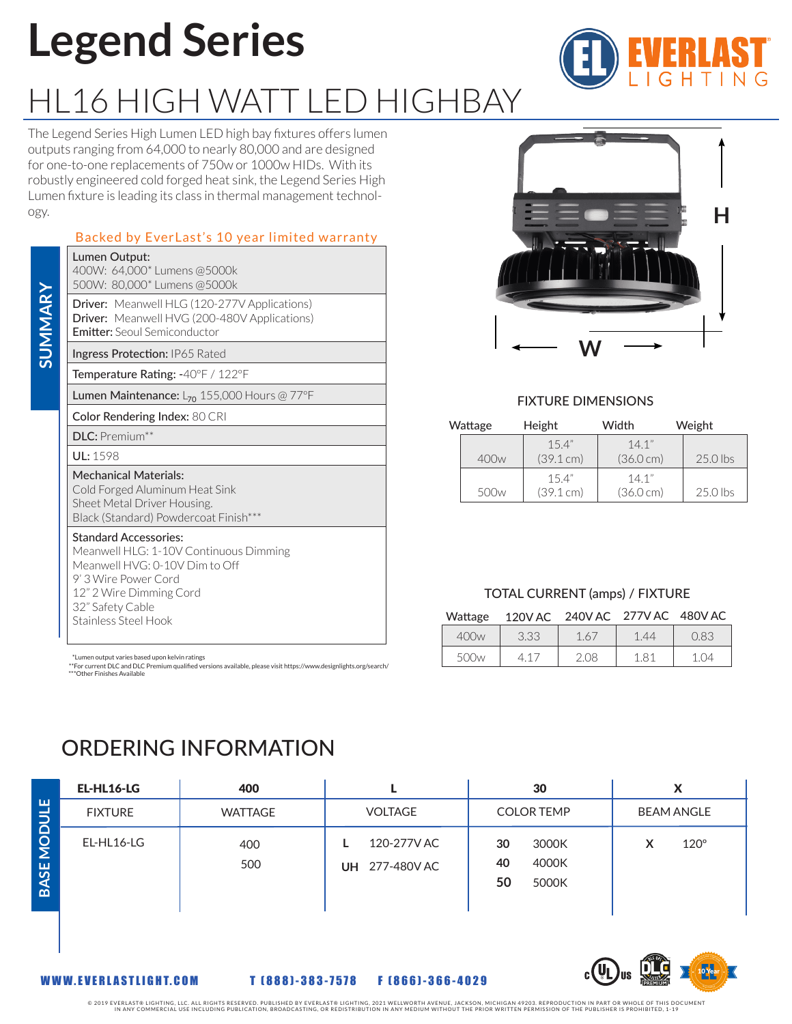## **Legend Series**

### HL16 HIGH WATT LED HIGHBAY

The Legend Series High Lumen LED high bay fixtures offers lumen outputs ranging from 64,000 to nearly 80,000 and are designed for one-to-one replacements of 750w or 1000w HIDs. With its robustly engineered cold forged heat sink, the Legend Series High Lumen fixture is leading its class in thermal management technology.

### Backed by EverLast's 10 year limited warranty

|                 | Lumen Output:<br>400W: 64,000* Lumens @5000k<br>500W: 80,000* Lumens @5000k                                                                                                                             |                                                                                                                                                  |                                    |                  |    |
|-----------------|---------------------------------------------------------------------------------------------------------------------------------------------------------------------------------------------------------|--------------------------------------------------------------------------------------------------------------------------------------------------|------------------------------------|------------------|----|
| SUMMARY         | Driver: Meanwell HLG (120-277V Applications)<br>Driver: Meanwell HVG (200-480V Applications)<br><b>Emitter:</b> Seoul Semiconductor                                                                     |                                                                                                                                                  |                                    |                  |    |
|                 | Ingress Protection: IP65 Rated                                                                                                                                                                          |                                                                                                                                                  |                                    |                  |    |
|                 | Temperature Rating: -40°F / 122°F                                                                                                                                                                       |                                                                                                                                                  |                                    |                  |    |
|                 |                                                                                                                                                                                                         | Lumen Maintenance: $L_{70}$ 155,000 Hours @ 77°F                                                                                                 |                                    |                  |    |
|                 | Color Rendering Index: 80 CRI                                                                                                                                                                           |                                                                                                                                                  |                                    |                  |    |
|                 | <b>DLC:</b> Premium**                                                                                                                                                                                   |                                                                                                                                                  |                                    | Wattag           |    |
|                 | UL: 1598                                                                                                                                                                                                |                                                                                                                                                  |                                    |                  | 40 |
|                 | <b>Mechanical Materials:</b><br>Cold Forged Aluminum Heat Sink<br>Sheet Metal Driver Housing.<br>Black (Standard) Powdercoat Finish***                                                                  |                                                                                                                                                  |                                    | 50               |    |
|                 | <b>Standard Accessories:</b><br>Meanwell HLG: 1-10V Continuous Dimming<br>Meanwell HVG: 0-10V Dim to Off<br>9' 3 Wire Power Cord<br>12" 2 Wire Dimming Cord<br>32" Safety Cable<br>Stainless Steel Hook |                                                                                                                                                  |                                    | Wattage          |    |
|                 |                                                                                                                                                                                                         |                                                                                                                                                  |                                    | 400 <sub>w</sub> |    |
|                 | *Lumen output varies based upon kelvin ratings                                                                                                                                                          |                                                                                                                                                  |                                    | 500 <sub>w</sub> |    |
|                 | ***Other Finishes Available                                                                                                                                                                             | **For current DLC and DLC Premium qualified versions available, please visit https://www.designlights.org/search/<br><b>ORDERING INFORMATION</b> |                                    |                  |    |
|                 | EL-HL16-LG                                                                                                                                                                                              | 400                                                                                                                                              | L                                  |                  |    |
|                 | <b>FIXTURE</b>                                                                                                                                                                                          | <b>WATTAGE</b>                                                                                                                                   | VOLTAGE                            |                  |    |
| <b>BASE MOD</b> | EL-HL16-LG                                                                                                                                                                                              | 400<br>500                                                                                                                                       | 120-277V AC<br>L<br>UH 277-480V AC |                  |    |
|                 | WWW.EVERLASTLIGHT.COM                                                                                                                                                                                   |                                                                                                                                                  | T [888]-383-7578 F [866]-366-4029  |                  |    |

# **H W**

### FIXTURE DIMENSIONS

| Wattage |                  | Height             | Width                        | Weight     |
|---------|------------------|--------------------|------------------------------|------------|
|         | 400w             | 15.4"<br>(39.1 cm) | 14.1"<br>$(36.0 \text{ cm})$ | $25.0$ lbs |
|         | 500 <sub>w</sub> | 15.4"<br>(39.1 cm) | 14.1"<br>$(36.0 \text{ cm})$ | $25.0$ lbs |

#### TOTAL CURRENT (amps) / FIXTURE

| Wattage | 120V AC 240V AC 277V AC 480V AC |      |      |      |
|---------|---------------------------------|------|------|------|
| 400w    | 3.33                            | 1.67 | 1.44 | 0.83 |

|    | つつつ<br>U.JJ |      | .44 | $\sim$ |
|----|-------------|------|-----|--------|
| ンマ |             | 2.08 | Χ.  | )⊿     |
|    |             |      |     |        |

### ORDERING INFORMATION

| EL-HL16-LG     | 400            |                               | 30                                        | х                 |
|----------------|----------------|-------------------------------|-------------------------------------------|-------------------|
| <b>FIXTURE</b> | <b>WATTAGE</b> | <b>VOLTAGE</b>                | <b>COLOR TEMP</b>                         | <b>BEAM ANGLE</b> |
| EL-HL16-LG     | 400<br>500     | 120-277V AC<br>UH 277-480V AC | 30<br>3000K<br>40<br>4000K<br>50<br>5000K | $120^\circ$       |



**BASE MODULE**

© 2019 EVERLAST® LIGHTING, LLC. ALL RIGHTS RESERVED. PUBLISHED BY EVERLAST® LIGHTING, 2021 WELLVER AN ACKSON, MICHIGAN 49203. REPRODUCTION IN PART OR WHOLE OF THE SPROHIBITED, 1-19<br>IN ANY COMMERCIAL USE INCLUDING PUBLICATI